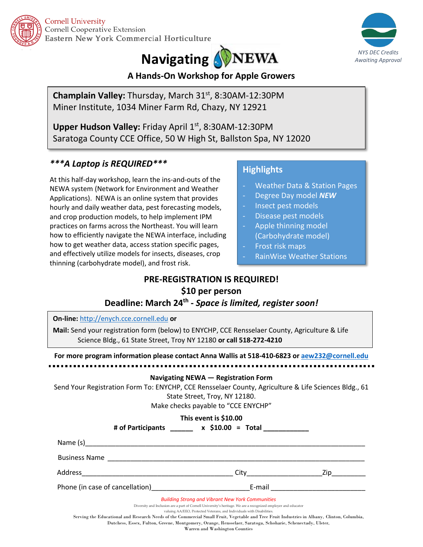

**Cornell University** Cornell Cooperative Extension Eastern New York Commercial Horticulture

# **Navigating APPINEWA**



## **A Hands-On Workshop for Apple Growers**

**Champlain Valley:** Thursday, March 31st, 8:30AM-12:30PM Miner Institute, 1034 Miner Farm Rd, Chazy, NY 12921

Upper Hudson Valley: Friday April 1st, 8:30AM-12:30PM Saratoga County CCE Office, 50 W High St, Ballston Spa, NY 12020

# *\*\*\*A Laptop is REQUIRED\*\*\**

At this half-day workshop, learn the ins-and-outs of the NEWA system (Network for Environment and Weather Applications). NEWA is an online system that provides hourly and daily weather data, pest forecasting models, and crop production models, to help implement IPM practices on farms across the Northeast. You will learn how to efficiently navigate the NEWA interface, including how to get weather data, access station specific pages, and effectively utilize models for insects, diseases, crop thinning (carbohydrate model), and frost risk.

## **Highlights**

- Weather Data & Station Pages
- Degree Day model *NEW*
- Insect pest models
- Disease pest models
- Apple thinning model (Carbohydrate model)
- Frost risk maps
- RainWise Weather Stations

# **PRE-REGISTRATION IS REQUIRED! \$10 per person**

### **Deadline: March 24th -** *Space is limited, register soon!*

| On-line: http://enych.cce.cornell.edu or<br>Mail: Send your registration form (below) to ENYCHP, CCE Rensselaer County, Agriculture & Life<br>Science Bldg., 61 State Street, Troy NY 12180 or call 518-272-4210<br>For more program information please contact Anna Wallis at 518-410-6823 or aew232@cornell.edu                                                                                                                                                                                                |  |                                   |
|------------------------------------------------------------------------------------------------------------------------------------------------------------------------------------------------------------------------------------------------------------------------------------------------------------------------------------------------------------------------------------------------------------------------------------------------------------------------------------------------------------------|--|-----------------------------------|
|                                                                                                                                                                                                                                                                                                                                                                                                                                                                                                                  |  |                                   |
| Navigating NEWA - Registration Form<br>Send Your Registration Form To: ENYCHP, CCE Rensselaer County, Agriculture & Life Sciences Bldg., 61<br>State Street, Troy, NY 12180.<br>Make checks payable to "CCE ENYCHP"                                                                                                                                                                                                                                                                                              |  |                                   |
| This event is \$10.00<br># of Participants _______ x \$10.00 = Total ___________                                                                                                                                                                                                                                                                                                                                                                                                                                 |  |                                   |
|                                                                                                                                                                                                                                                                                                                                                                                                                                                                                                                  |  |                                   |
|                                                                                                                                                                                                                                                                                                                                                                                                                                                                                                                  |  |                                   |
|                                                                                                                                                                                                                                                                                                                                                                                                                                                                                                                  |  |                                   |
|                                                                                                                                                                                                                                                                                                                                                                                                                                                                                                                  |  | City <b>Example 21 Series 21p</b> |
|                                                                                                                                                                                                                                                                                                                                                                                                                                                                                                                  |  |                                   |
| <b>Building Strong and Vibrant New York Communities</b><br>Diversity and Inclusion are a part of Cornell University's heritage. We are a recognized employer and educator<br>valuing AA/EEO, Protected Veterans, and Individuals with Disabilities.<br>Serving the Educational and Research Needs of the Commercial Small Fruit, Vegetable and Tree Fruit Industries in Albany, Clinton, Columbia,<br>Dutchess, Essex, Fulton, Greene, Montgomery, Orange, Rensselaer, Saratoga, Schoharie, Schenectady, Ulster, |  |                                   |

Warren and Washington Counties